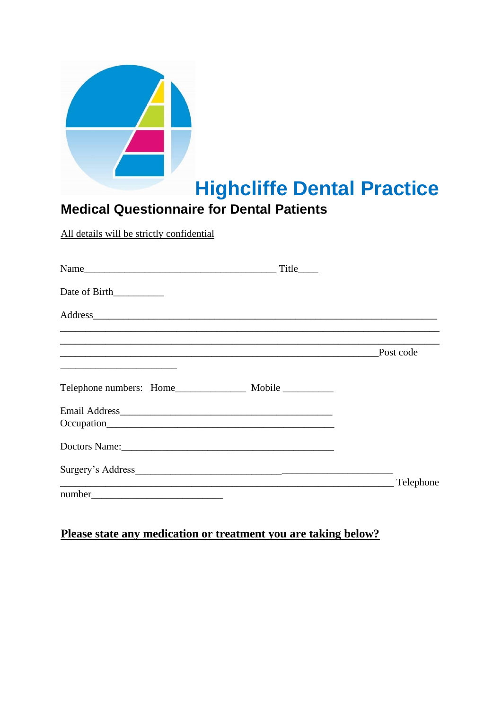|                                                                                                                                                                                                                                                | <b>Highcliffe Dental Practice</b> |
|------------------------------------------------------------------------------------------------------------------------------------------------------------------------------------------------------------------------------------------------|-----------------------------------|
| <b>Medical Questionnaire for Dental Patients</b>                                                                                                                                                                                               |                                   |
| All details will be strictly confidential                                                                                                                                                                                                      |                                   |
|                                                                                                                                                                                                                                                |                                   |
| Date of Birth                                                                                                                                                                                                                                  |                                   |
|                                                                                                                                                                                                                                                |                                   |
| <u>Post code</u> Rost Code                                                                                                                                                                                                                     |                                   |
| Telephone numbers: Home_________________ Mobile __________                                                                                                                                                                                     |                                   |
|                                                                                                                                                                                                                                                |                                   |
|                                                                                                                                                                                                                                                |                                   |
| Doctors Name: Name and Second Contract of the Second Contract of the Second Contract of the Second Contract of the Second Contract of the Second Contract of the Second Contract of the Second Contract of the Second Contract                 |                                   |
|                                                                                                                                                                                                                                                |                                   |
| <u> 2000 - 2000 - 2000 - 2000 - 2000 - 2000 - 2000 - 2000 - 2000 - 2000 - 2000 - 2000 - 2000 - 2000 - 2000 - 2000 - 2000 - 2000 - 2000 - 2000 - 2000 - 2000 - 2000 - 2000 - 2000 - 2000 - 2000 - 2000 - 2000 - 2000 - 2000 - 200</u><br>number |                                   |

## Please state any medication or treatment you are taking below?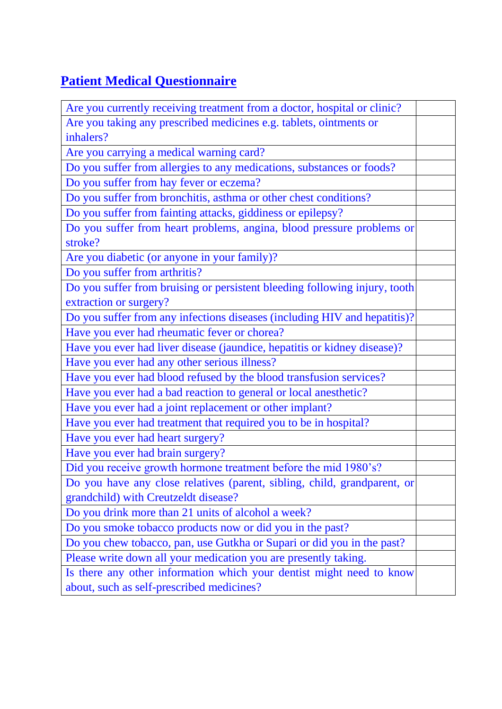# **Patient Medical Questionnaire**

| Are you currently receiving treatment from a doctor, hospital or clinic?   |  |
|----------------------------------------------------------------------------|--|
| Are you taking any prescribed medicines e.g. tablets, ointments or         |  |
| inhalers?                                                                  |  |
| Are you carrying a medical warning card?                                   |  |
| Do you suffer from allergies to any medications, substances or foods?      |  |
| Do you suffer from hay fever or eczema?                                    |  |
| Do you suffer from bronchitis, asthma or other chest conditions?           |  |
| Do you suffer from fainting attacks, giddiness or epilepsy?                |  |
| Do you suffer from heart problems, angina, blood pressure problems or      |  |
| stroke?                                                                    |  |
| Are you diabetic (or anyone in your family)?                               |  |
| Do you suffer from arthritis?                                              |  |
| Do you suffer from bruising or persistent bleeding following injury, tooth |  |
| extraction or surgery?                                                     |  |
| Do you suffer from any infections diseases (including HIV and hepatitis)?  |  |
| Have you ever had rheumatic fever or chorea?                               |  |
| Have you ever had liver disease (jaundice, hepatitis or kidney disease)?   |  |
| Have you ever had any other serious illness?                               |  |
| Have you ever had blood refused by the blood transfusion services?         |  |
| Have you ever had a bad reaction to general or local anesthetic?           |  |
| Have you ever had a joint replacement or other implant?                    |  |
| Have you ever had treatment that required you to be in hospital?           |  |
| Have you ever had heart surgery?                                           |  |
| Have you ever had brain surgery?                                           |  |
| Did you receive growth hormone treatment before the mid 1980's?            |  |
| Do you have any close relatives (parent, sibling, child, grandparent, or   |  |
| grandchild) with Creutzeldt disease?                                       |  |
| Do you drink more than 21 units of alcohol a week?                         |  |
| Do you smoke tobacco products now or did you in the past?                  |  |
| Do you chew tobacco, pan, use Gutkha or Supari or did you in the past?     |  |
| Please write down all your medication you are presently taking.            |  |
| Is there any other information which your dentist might need to know       |  |
| about, such as self-prescribed medicines?                                  |  |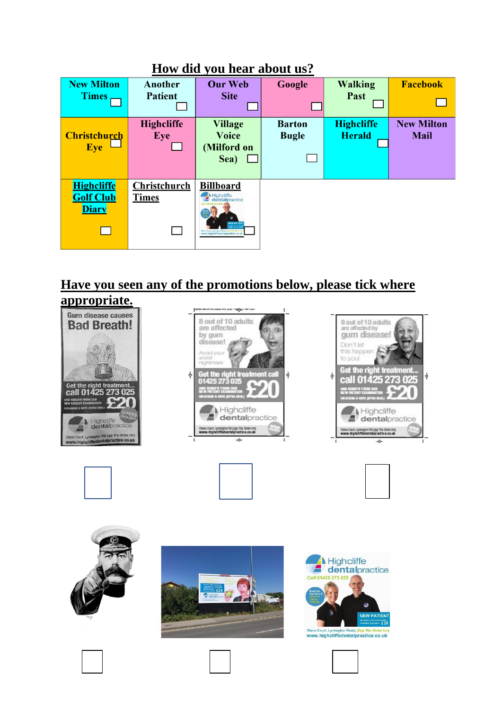| LIOW UIU YOU HEAL ADOUL US. |                   |                                                                                   |               |                   |                   |
|-----------------------------|-------------------|-----------------------------------------------------------------------------------|---------------|-------------------|-------------------|
| <b>New Milton</b>           | Another           | <b>Our Web</b>                                                                    | Google        | <b>Walking</b>    | <b>Facebook</b>   |
| <b>Times</b>                | <b>Patient</b>    | <b>Site</b>                                                                       |               | Past              |                   |
|                             |                   |                                                                                   |               |                   |                   |
|                             | <b>Highcliffe</b> | <b>Village</b>                                                                    | <b>Barton</b> | <b>Highcliffe</b> | <b>New Milton</b> |
| <b>Christchurch</b>         | Eye               | <b>Voice</b>                                                                      | <b>Bugle</b>  | <b>Herald</b>     | <b>Mail</b>       |
| <b>Eye</b>                  |                   | (Milford on                                                                       |               |                   |                   |
|                             |                   | Sea)                                                                              |               |                   |                   |
|                             |                   |                                                                                   |               |                   |                   |
| <b>Highcliffe</b>           | Christchurch      | <b>Billboard</b>                                                                  |               |                   |                   |
| <b>Golf Club</b>            | <b>Times</b>      | <b>Highcliffe</b><br>dentalpractice                                               |               |                   |                   |
| <b>Diary</b>                |                   |                                                                                   |               |                   |                   |
|                             |                   | <b>NEW PATIES</b>                                                                 |               |                   |                   |
|                             |                   | Sono Court, Lymbeston Board whoo The Globe<br>mmr.hipfigliffedents israelige, co. |               |                   |                   |
|                             |                   |                                                                                   |               |                   |                   |

## **How did you hear about us?**

#### **Have you seen any of the promotions below, please tick where appropriate.**



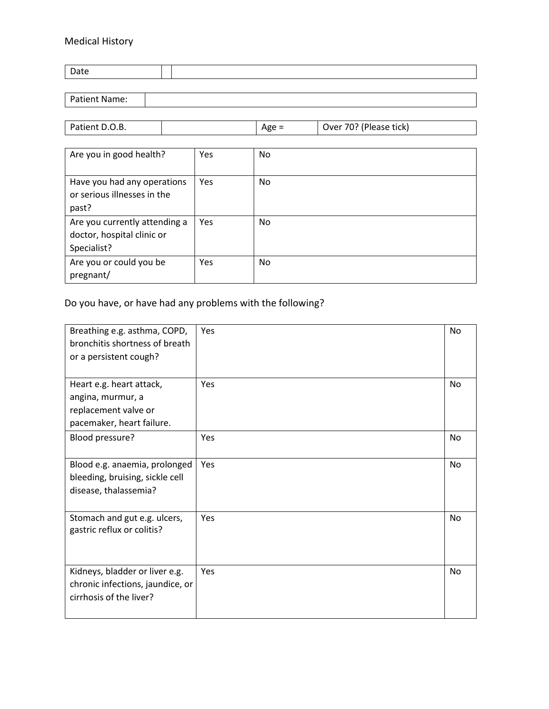#### Medical History

| Date                 |  |
|----------------------|--|
|                      |  |
| <b>Patient Name:</b> |  |

| Patient D.O.B. | Age = | Over 70? (Please tick) |
|----------------|-------|------------------------|
|                |       |                        |

| Are you in good health?                                                    | Yes | No  |
|----------------------------------------------------------------------------|-----|-----|
| Have you had any operations<br>or serious illnesses in the<br>past?        | Yes | No. |
| Are you currently attending a<br>doctor, hospital clinic or<br>Specialist? | Yes | No. |
| Are you or could you be<br>pregnant/                                       | Yes | No. |

### Do you have, or have had any problems with the following?

| Breathing e.g. asthma, COPD,<br>bronchitis shortness of breath<br>or a persistent cough?           | Yes | No        |
|----------------------------------------------------------------------------------------------------|-----|-----------|
| Heart e.g. heart attack,<br>angina, murmur, a<br>replacement valve or<br>pacemaker, heart failure. | Yes | <b>No</b> |
| Blood pressure?                                                                                    | Yes | No        |
| Blood e.g. anaemia, prolonged<br>bleeding, bruising, sickle cell<br>disease, thalassemia?          | Yes | <b>No</b> |
| Stomach and gut e.g. ulcers,<br>gastric reflux or colitis?                                         | Yes | <b>No</b> |
| Kidneys, bladder or liver e.g.<br>chronic infections, jaundice, or<br>cirrhosis of the liver?      | Yes | <b>No</b> |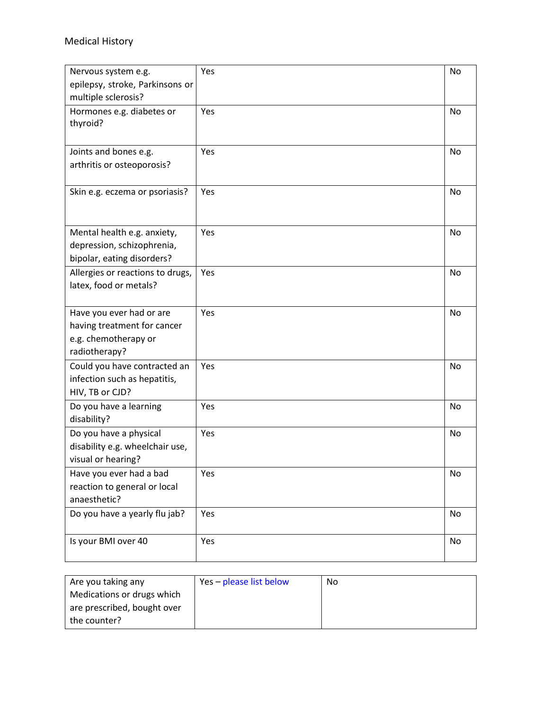#### Medical History

| Nervous system e.g.                                                                              | Yes | No |
|--------------------------------------------------------------------------------------------------|-----|----|
| epilepsy, stroke, Parkinsons or                                                                  |     |    |
| multiple sclerosis?                                                                              |     |    |
| Hormones e.g. diabetes or<br>thyroid?                                                            | Yes | No |
| Joints and bones e.g.<br>arthritis or osteoporosis?                                              | Yes | No |
| Skin e.g. eczema or psoriasis?                                                                   | Yes | No |
| Mental health e.g. anxiety,<br>depression, schizophrenia,<br>bipolar, eating disorders?          | Yes | No |
| Allergies or reactions to drugs,<br>latex, food or metals?                                       | Yes | No |
| Have you ever had or are<br>having treatment for cancer<br>e.g. chemotherapy or<br>radiotherapy? | Yes | No |
| Could you have contracted an<br>infection such as hepatitis,<br>HIV, TB or CJD?                  | Yes | No |
| Do you have a learning<br>disability?                                                            | Yes | No |
| Do you have a physical<br>disability e.g. wheelchair use,<br>visual or hearing?                  | Yes | No |
| Have you ever had a bad<br>reaction to general or local<br>anaesthetic?                          | Yes | No |
| Do you have a yearly flu jab?                                                                    | Yes | No |
| Is your BMI over 40                                                                              | Yes | No |

| Are you taking any          | Yes - please list below | No |
|-----------------------------|-------------------------|----|
| Medications or drugs which  |                         |    |
| are prescribed, bought over |                         |    |
| the counter?                |                         |    |